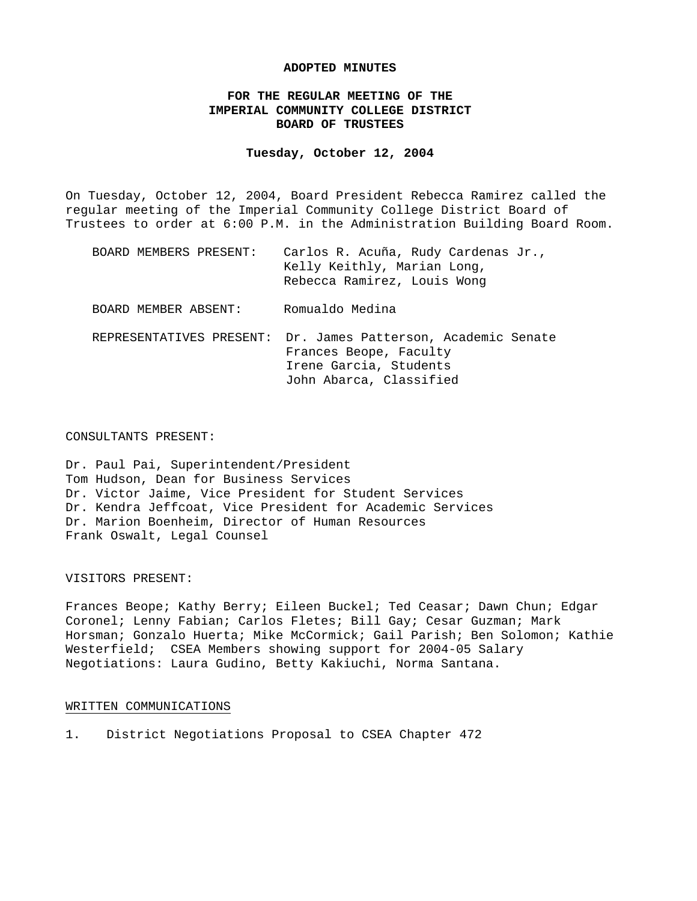#### **ADOPTED MINUTES**

# **FOR THE REGULAR MEETING OF THE IMPERIAL COMMUNITY COLLEGE DISTRICT BOARD OF TRUSTEES**

#### **Tuesday, October 12, 2004**

On Tuesday, October 12, 2004, Board President Rebecca Ramirez called the regular meeting of the Imperial Community College District Board of Trustees to order at 6:00 P.M. in the Administration Building Board Room.

| BOARD MEMBERS PRESENT: | Carlos R. Acuña, Rudy Cardenas Jr.,<br>Kelly Keithly, Marian Long,<br>Rebecca Ramirez, Louis Wong                 |
|------------------------|-------------------------------------------------------------------------------------------------------------------|
| BOARD MEMBER ABSENT:   | Romualdo Medina                                                                                                   |
|                        | REPRESENTATIVES PRESENT: Dr. James Patterson, Academic Senate<br>Frances Beope, Faculty<br>Irene Garcia, Students |

John Abarca, Classified

#### CONSULTANTS PRESENT:

Dr. Paul Pai, Superintendent/President Tom Hudson, Dean for Business Services Dr. Victor Jaime, Vice President for Student Services Dr. Kendra Jeffcoat, Vice President for Academic Services Dr. Marion Boenheim, Director of Human Resources Frank Oswalt, Legal Counsel

#### VISITORS PRESENT:

Frances Beope; Kathy Berry; Eileen Buckel; Ted Ceasar; Dawn Chun; Edgar Coronel; Lenny Fabian; Carlos Fletes; Bill Gay; Cesar Guzman; Mark Horsman; Gonzalo Huerta; Mike McCormick; Gail Parish; Ben Solomon; Kathie Westerfield; CSEA Members showing support for 2004-05 Salary Negotiations: Laura Gudino, Betty Kakiuchi, Norma Santana.

## WRITTEN COMMUNICATIONS

1. District Negotiations Proposal to CSEA Chapter 472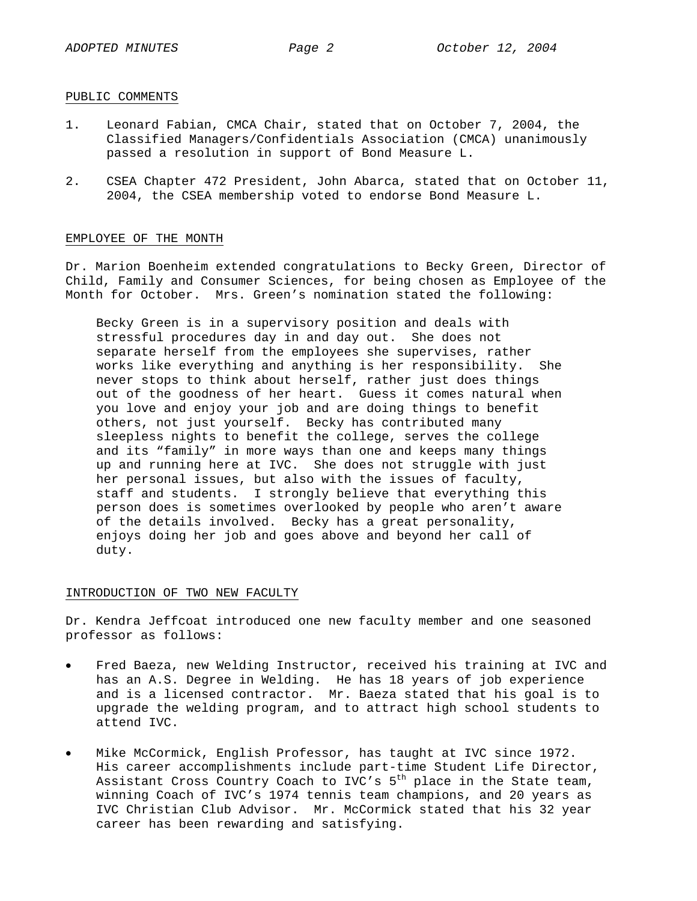## PUBLIC COMMENTS

- 1. Leonard Fabian, CMCA Chair, stated that on October 7, 2004, the Classified Managers/Confidentials Association (CMCA) unanimously passed a resolution in support of Bond Measure L.
- 2. CSEA Chapter 472 President, John Abarca, stated that on October 11, 2004, the CSEA membership voted to endorse Bond Measure L.

# EMPLOYEE OF THE MONTH

Dr. Marion Boenheim extended congratulations to Becky Green, Director of Child, Family and Consumer Sciences, for being chosen as Employee of the Month for October. Mrs. Green's nomination stated the following:

Becky Green is in a supervisory position and deals with stressful procedures day in and day out. She does not separate herself from the employees she supervises, rather works like everything and anything is her responsibility. She never stops to think about herself, rather just does things out of the goodness of her heart. Guess it comes natural when you love and enjoy your job and are doing things to benefit others, not just yourself. Becky has contributed many sleepless nights to benefit the college, serves the college and its "family" in more ways than one and keeps many things up and running here at IVC. She does not struggle with just her personal issues, but also with the issues of faculty, staff and students. I strongly believe that everything this person does is sometimes overlooked by people who aren't aware of the details involved. Becky has a great personality, enjoys doing her job and goes above and beyond her call of duty.

#### INTRODUCTION OF TWO NEW FACULTY

Dr. Kendra Jeffcoat introduced one new faculty member and one seasoned professor as follows:

- Fred Baeza, new Welding Instructor, received his training at IVC and has an A.S. Degree in Welding. He has 18 years of job experience and is a licensed contractor. Mr. Baeza stated that his goal is to upgrade the welding program, and to attract high school students to attend IVC.
- Mike McCormick, English Professor, has taught at IVC since 1972. His career accomplishments include part-time Student Life Director, Assistant Cross Country Coach to IVC's  $5<sup>th</sup>$  place in the State team, winning Coach of IVC's 1974 tennis team champions, and 20 years as IVC Christian Club Advisor. Mr. McCormick stated that his 32 year career has been rewarding and satisfying.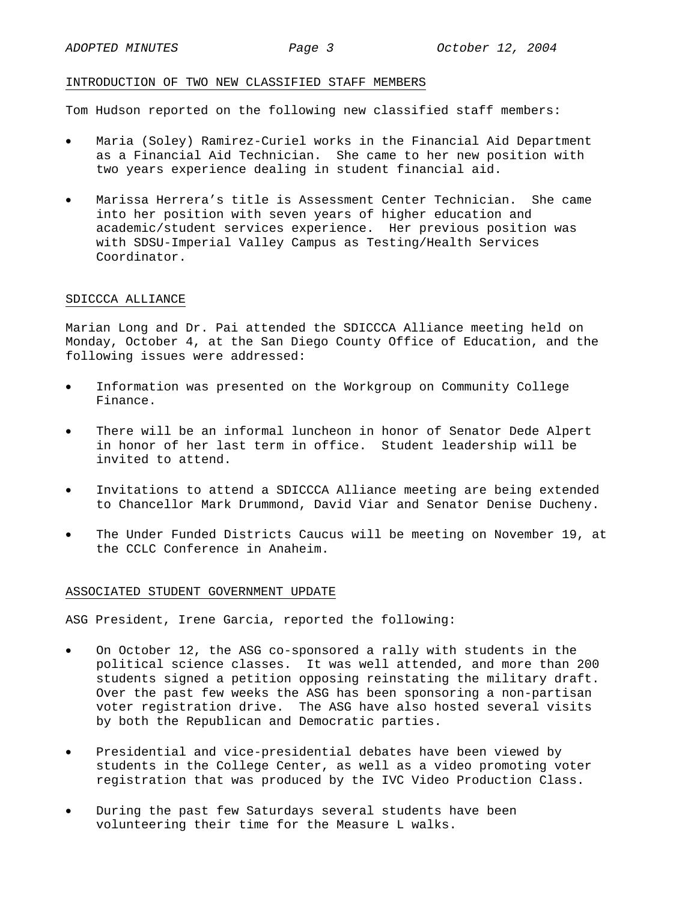## INTRODUCTION OF TWO NEW CLASSIFIED STAFF MEMBERS

Tom Hudson reported on the following new classified staff members:

- Maria (Soley) Ramirez-Curiel works in the Financial Aid Department as a Financial Aid Technician. She came to her new position with two years experience dealing in student financial aid.
- Marissa Herrera's title is Assessment Center Technician. She came into her position with seven years of higher education and academic/student services experience. Her previous position was with SDSU-Imperial Valley Campus as Testing/Health Services Coordinator.

### SDICCCA ALLIANCE

Marian Long and Dr. Pai attended the SDICCCA Alliance meeting held on Monday, October 4, at the San Diego County Office of Education, and the following issues were addressed:

- Information was presented on the Workgroup on Community College Finance.
- There will be an informal luncheon in honor of Senator Dede Alpert in honor of her last term in office. Student leadership will be invited to attend.
- Invitations to attend a SDICCCA Alliance meeting are being extended to Chancellor Mark Drummond, David Viar and Senator Denise Ducheny.
- The Under Funded Districts Caucus will be meeting on November 19, at the CCLC Conference in Anaheim.

#### ASSOCIATED STUDENT GOVERNMENT UPDATE

ASG President, Irene Garcia, reported the following:

- On October 12, the ASG co-sponsored a rally with students in the political science classes. It was well attended, and more than 200 students signed a petition opposing reinstating the military draft. Over the past few weeks the ASG has been sponsoring a non-partisan voter registration drive. The ASG have also hosted several visits by both the Republican and Democratic parties.
- Presidential and vice-presidential debates have been viewed by students in the College Center, as well as a video promoting voter registration that was produced by the IVC Video Production Class.
- During the past few Saturdays several students have been volunteering their time for the Measure L walks.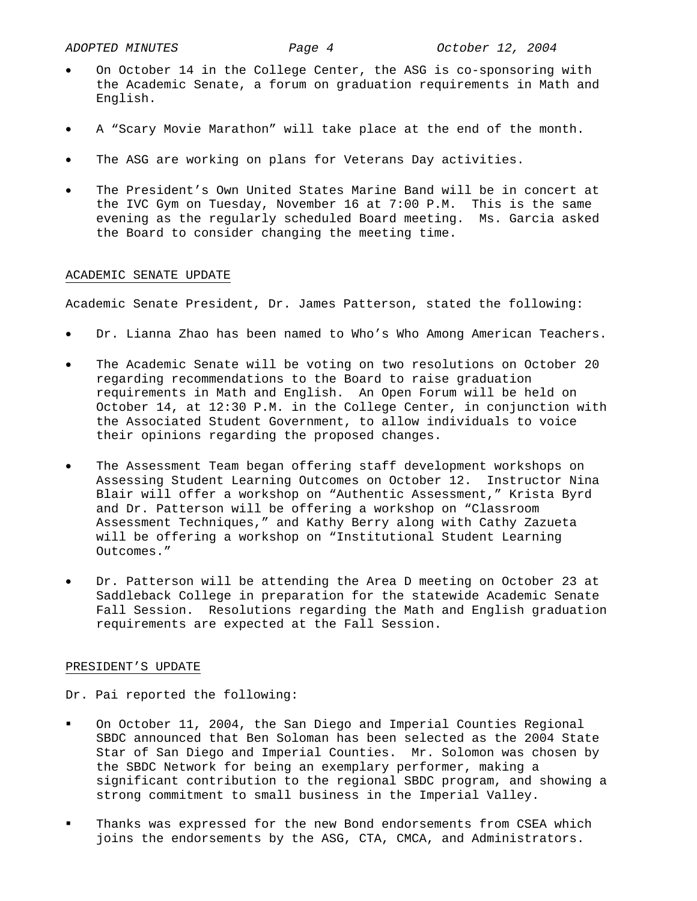- On October 14 in the College Center, the ASG is co-sponsoring with the Academic Senate, a forum on graduation requirements in Math and English.
- A "Scary Movie Marathon" will take place at the end of the month.
- The ASG are working on plans for Veterans Day activities.
- The President's Own United States Marine Band will be in concert at the IVC Gym on Tuesday, November 16 at 7:00 P.M. This is the same evening as the regularly scheduled Board meeting. Ms. Garcia asked the Board to consider changing the meeting time.

## ACADEMIC SENATE UPDATE

Academic Senate President, Dr. James Patterson, stated the following:

- Dr. Lianna Zhao has been named to Who's Who Among American Teachers.
- The Academic Senate will be voting on two resolutions on October 20 regarding recommendations to the Board to raise graduation requirements in Math and English. An Open Forum will be held on October 14, at 12:30 P.M. in the College Center, in conjunction with the Associated Student Government, to allow individuals to voice their opinions regarding the proposed changes.
- The Assessment Team began offering staff development workshops on Assessing Student Learning Outcomes on October 12. Instructor Nina Blair will offer a workshop on "Authentic Assessment," Krista Byrd and Dr. Patterson will be offering a workshop on "Classroom Assessment Techniques," and Kathy Berry along with Cathy Zazueta will be offering a workshop on "Institutional Student Learning Outcomes."
- Dr. Patterson will be attending the Area D meeting on October 23 at Saddleback College in preparation for the statewide Academic Senate Fall Session. Resolutions regarding the Math and English graduation requirements are expected at the Fall Session.

## PRESIDENT'S UPDATE

Dr. Pai reported the following:

- On October 11, 2004, the San Diego and Imperial Counties Regional SBDC announced that Ben Soloman has been selected as the 2004 State Star of San Diego and Imperial Counties. Mr. Solomon was chosen by the SBDC Network for being an exemplary performer, making a significant contribution to the regional SBDC program, and showing a strong commitment to small business in the Imperial Valley.
- Thanks was expressed for the new Bond endorsements from CSEA which joins the endorsements by the ASG, CTA, CMCA, and Administrators.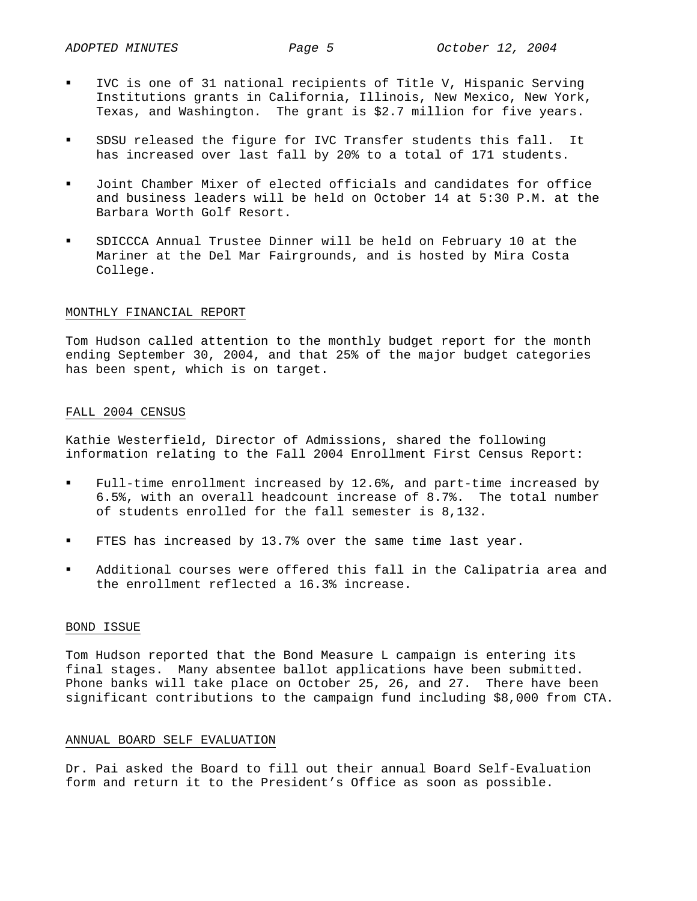- IVC is one of 31 national recipients of Title V, Hispanic Serving Institutions grants in California, Illinois, New Mexico, New York, Texas, and Washington. The grant is \$2.7 million for five years.
- SDSU released the figure for IVC Transfer students this fall. It has increased over last fall by 20% to a total of 171 students.
- Joint Chamber Mixer of elected officials and candidates for office and business leaders will be held on October 14 at 5:30 P.M. at the Barbara Worth Golf Resort.
- SDICCCA Annual Trustee Dinner will be held on February 10 at the Mariner at the Del Mar Fairgrounds, and is hosted by Mira Costa College.

## MONTHLY FINANCIAL REPORT

Tom Hudson called attention to the monthly budget report for the month ending September 30, 2004, and that 25% of the major budget categories has been spent, which is on target.

## FALL 2004 CENSUS

Kathie Westerfield, Director of Admissions, shared the following information relating to the Fall 2004 Enrollment First Census Report:

- Full-time enrollment increased by 12.6%, and part-time increased by 6.5%, with an overall headcount increase of 8.7%. The total number of students enrolled for the fall semester is 8,132.
- FTES has increased by 13.7% over the same time last year.
- Additional courses were offered this fall in the Calipatria area and the enrollment reflected a 16.3% increase.

## BOND ISSUE

Tom Hudson reported that the Bond Measure L campaign is entering its final stages. Many absentee ballot applications have been submitted. Phone banks will take place on October 25, 26, and 27. There have been significant contributions to the campaign fund including \$8,000 from CTA.

## ANNUAL BOARD SELF EVALUATION

Dr. Pai asked the Board to fill out their annual Board Self-Evaluation form and return it to the President's Office as soon as possible.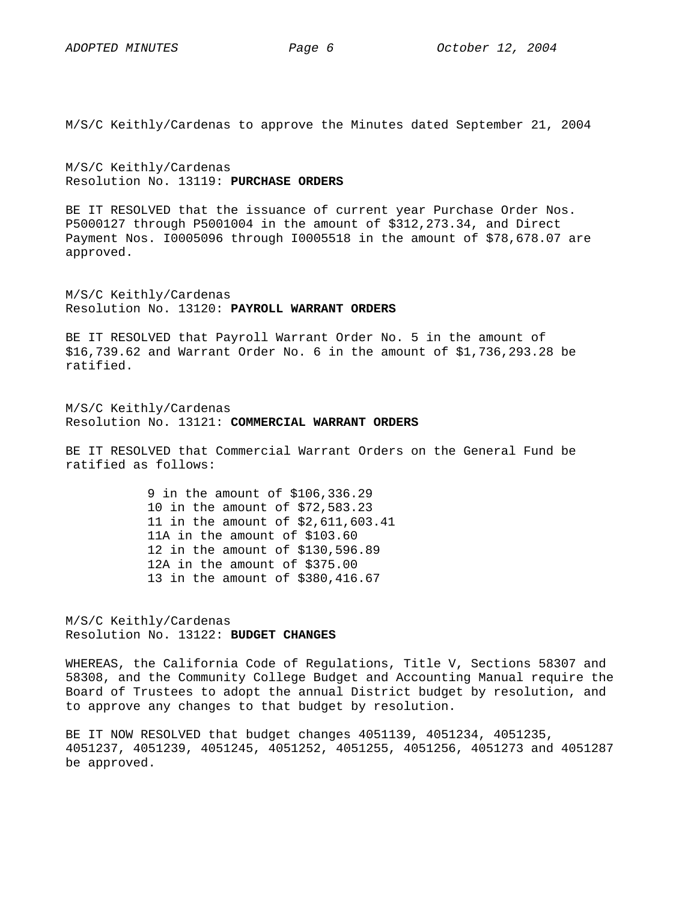M/S/C Keithly/Cardenas to approve the Minutes dated September 21, 2004

M/S/C Keithly/Cardenas Resolution No. 13119: **PURCHASE ORDERS**

BE IT RESOLVED that the issuance of current year Purchase Order Nos. P5000127 through P5001004 in the amount of \$312,273.34, and Direct Payment Nos. I0005096 through I0005518 in the amount of \$78,678.07 are approved.

M/S/C Keithly/Cardenas Resolution No. 13120: **PAYROLL WARRANT ORDERS**

BE IT RESOLVED that Payroll Warrant Order No. 5 in the amount of \$16,739.62 and Warrant Order No. 6 in the amount of \$1,736,293.28 be ratified.

M/S/C Keithly/Cardenas Resolution No. 13121: **COMMERCIAL WARRANT ORDERS**

BE IT RESOLVED that Commercial Warrant Orders on the General Fund be ratified as follows:

> 9 in the amount of \$106,336.29 10 in the amount of \$72,583.23 11 in the amount of \$2,611,603.41 11A in the amount of \$103.60 12 in the amount of \$130,596.89 12A in the amount of \$375.00 13 in the amount of \$380,416.67

M/S/C Keithly/Cardenas Resolution No. 13122: **BUDGET CHANGES** 

WHEREAS, the California Code of Regulations, Title V, Sections 58307 and 58308, and the Community College Budget and Accounting Manual require the Board of Trustees to adopt the annual District budget by resolution, and to approve any changes to that budget by resolution.

BE IT NOW RESOLVED that budget changes 4051139, 4051234, 4051235, 4051237, 4051239, 4051245, 4051252, 4051255, 4051256, 4051273 and 4051287 be approved.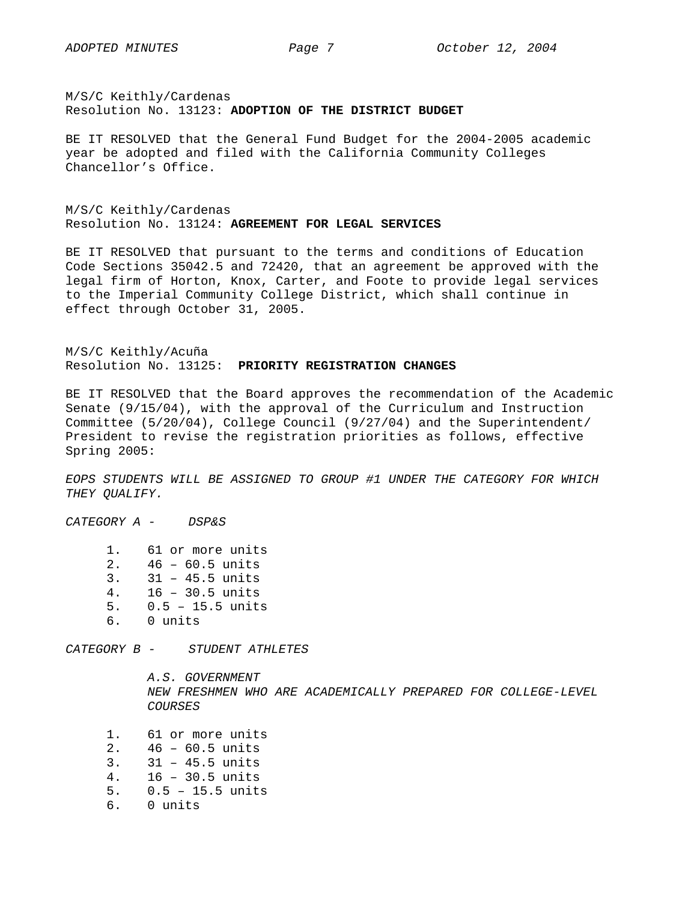M/S/C Keithly/Cardenas Resolution No. 13123: **ADOPTION OF THE DISTRICT BUDGET** 

BE IT RESOLVED that the General Fund Budget for the 2004-2005 academic year be adopted and filed with the California Community Colleges Chancellor's Office.

M/S/C Keithly/Cardenas Resolution No. 13124: **AGREEMENT FOR LEGAL SERVICES** 

BE IT RESOLVED that pursuant to the terms and conditions of Education Code Sections 35042.5 and 72420, that an agreement be approved with the legal firm of Horton, Knox, Carter, and Foote to provide legal services to the Imperial Community College District, which shall continue in effect through October 31, 2005.

M/S/C Keithly/Acuña Resolution No. 13125: **PRIORITY REGISTRATION CHANGES**

BE IT RESOLVED that the Board approves the recommendation of the Academic Senate (9/15/04), with the approval of the Curriculum and Instruction Committee (5/20/04), College Council (9/27/04) and the Superintendent/ President to revise the registration priorities as follows, effective Spring 2005:

*EOPS STUDENTS WILL BE ASSIGNED TO GROUP #1 UNDER THE CATEGORY FOR WHICH THEY QUALIFY.* 

*CATEGORY A - DSP&S*

1. 61 or more units 2. 46 – 60.5 units 3. 31 – 45.5 units 4. 16 – 30.5 units 5. 0.5 – 15.5 units 6. 0 units

*CATEGORY B - STUDENT ATHLETES* 

 *A.S. GOVERNMENT NEW FRESHMEN WHO ARE ACADEMICALLY PREPARED FOR COLLEGE-LEVEL COURSES* 

 1. 61 or more units 2. 46 – 60.5 units 3. 31 – 45.5 units 4. 16 – 30.5 units 5. 0.5 – 15.5 units 6. 0 units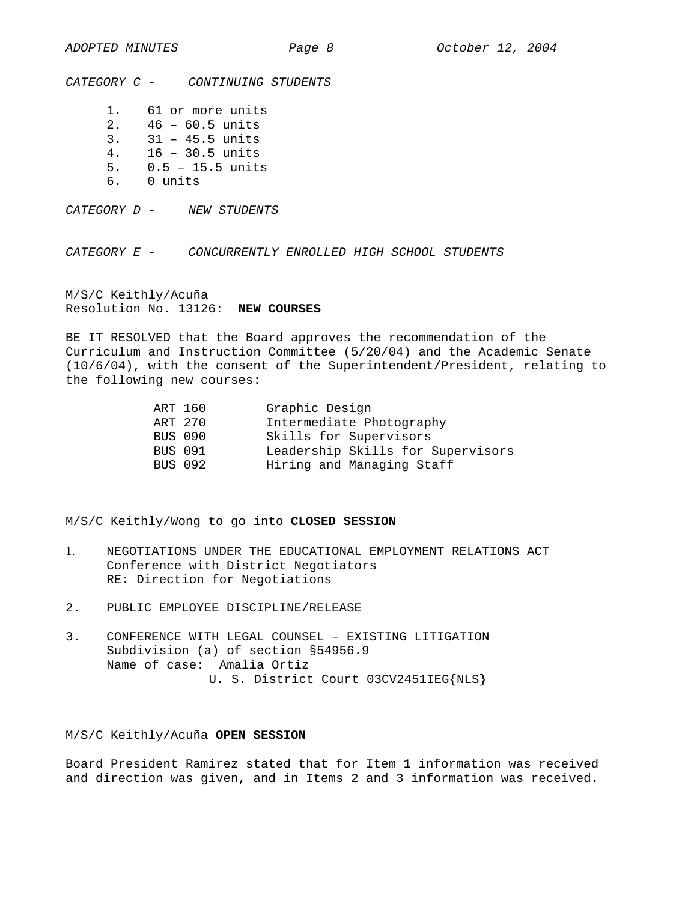*CATEGORY C - CONTINUING STUDENTS* 

1. 61 or more units 2. 46 – 60.5 units 3. 31 – 45.5 units 4. 16 – 30.5 units

- 5. 0.5 15.5 units
- 6. 0 units

*CATEGORY D - NEW STUDENTS* 

*CATEGORY E - CONCURRENTLY ENROLLED HIGH SCHOOL STUDENTS* 

M/S/C Keithly/Acuña Resolution No. 13126: **NEW COURSES**

BE IT RESOLVED that the Board approves the recommendation of the Curriculum and Instruction Committee (5/20/04) and the Academic Senate (10/6/04), with the consent of the Superintendent/President, relating to the following new courses:

| Leadership Skills for Supervisors |
|-----------------------------------|
|                                   |
|                                   |

M/S/C Keithly/Wong to go into **CLOSED SESSION**

- 1. NEGOTIATIONS UNDER THE EDUCATIONAL EMPLOYMENT RELATIONS ACT Conference with District Negotiators RE: Direction for Negotiations
- 2. PUBLIC EMPLOYEE DISCIPLINE/RELEASE
- 3. CONFERENCE WITH LEGAL COUNSEL EXISTING LITIGATION Subdivision (a) of section §54956.9 Name of case: Amalia Ortiz U. S. District Court 03CV2451IEG{NLS}

# M/S/C Keithly/Acuña **OPEN SESSION**

Board President Ramirez stated that for Item 1 information was received and direction was given, and in Items 2 and 3 information was received.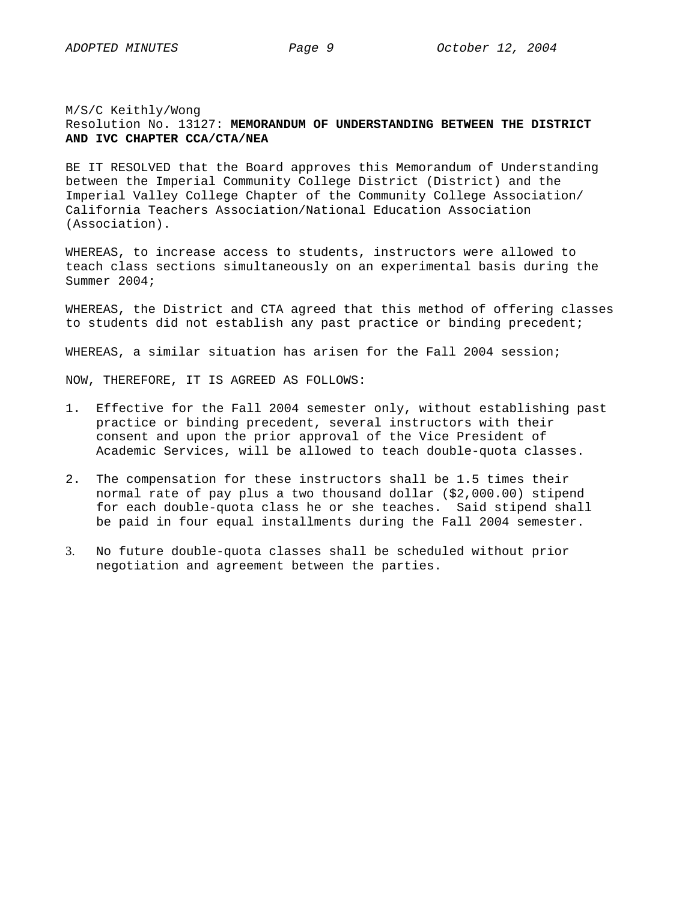## M/S/C Keithly/Wong

# Resolution No. 13127: **MEMORANDUM OF UNDERSTANDING BETWEEN THE DISTRICT AND IVC CHAPTER CCA/CTA/NEA**

BE IT RESOLVED that the Board approves this Memorandum of Understanding between the Imperial Community College District (District) and the Imperial Valley College Chapter of the Community College Association/ California Teachers Association/National Education Association (Association).

WHEREAS, to increase access to students, instructors were allowed to teach class sections simultaneously on an experimental basis during the Summer 2004;

WHEREAS, the District and CTA agreed that this method of offering classes to students did not establish any past practice or binding precedent;

WHEREAS, a similar situation has arisen for the Fall 2004 session;

NOW, THEREFORE, IT IS AGREED AS FOLLOWS:

- 1. Effective for the Fall 2004 semester only, without establishing past practice or binding precedent, several instructors with their consent and upon the prior approval of the Vice President of Academic Services, will be allowed to teach double-quota classes.
- 2. The compensation for these instructors shall be 1.5 times their normal rate of pay plus a two thousand dollar (\$2,000.00) stipend for each double-quota class he or she teaches. Said stipend shall be paid in four equal installments during the Fall 2004 semester.
- 3. No future double-quota classes shall be scheduled without prior negotiation and agreement between the parties.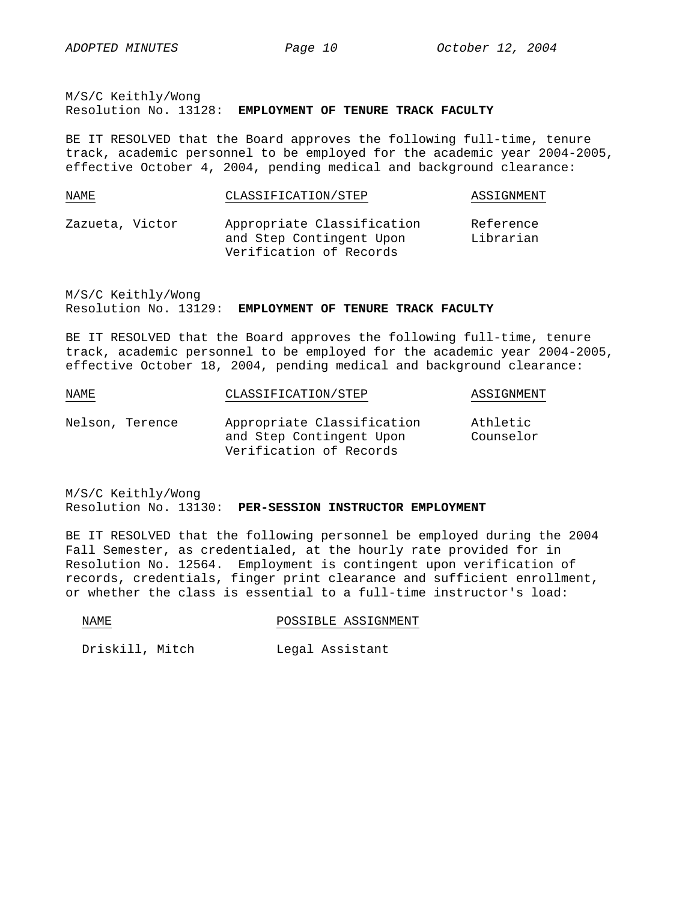M/S/C Keithly/Wong Resolution No. 13128: **EMPLOYMENT OF TENURE TRACK FACULTY**

BE IT RESOLVED that the Board approves the following full-time, tenure track, academic personnel to be employed for the academic year 2004-2005, effective October 4, 2004, pending medical and background clearance:

| NAME            | CLASSIFICATION/STEP                                                               | ASSIGNMENT             |
|-----------------|-----------------------------------------------------------------------------------|------------------------|
| Zazueta, Victor | Appropriate Classification<br>and Step Contingent Upon<br>Verification of Records | Reference<br>Librarian |

M/S/C Keithly/Wong Resolution No. 13129: **EMPLOYMENT OF TENURE TRACK FACULTY**

BE IT RESOLVED that the Board approves the following full-time, tenure track, academic personnel to be employed for the academic year 2004-2005, effective October 18, 2004, pending medical and background clearance:

| NAME            | CLASSIFICATION/STEP                                                               | ASSIGNMENT            |
|-----------------|-----------------------------------------------------------------------------------|-----------------------|
| Nelson, Terence | Appropriate Classification<br>and Step Contingent Upon<br>Verification of Records | Athletic<br>Counselor |

M/S/C Keithly/Wong Resolution No. 13130: **PER-SESSION INSTRUCTOR EMPLOYMENT**

BE IT RESOLVED that the following personnel be employed during the 2004 Fall Semester, as credentialed, at the hourly rate provided for in Resolution No. 12564. Employment is contingent upon verification of records, credentials, finger print clearance and sufficient enrollment, or whether the class is essential to a full-time instructor's load:

| M٦.<br>ᇄ᠘ | POSSIBLE | ASSIGNMENT |
|-----------|----------|------------|
|           |          |            |

Driskill, Mitch Legal Assistant